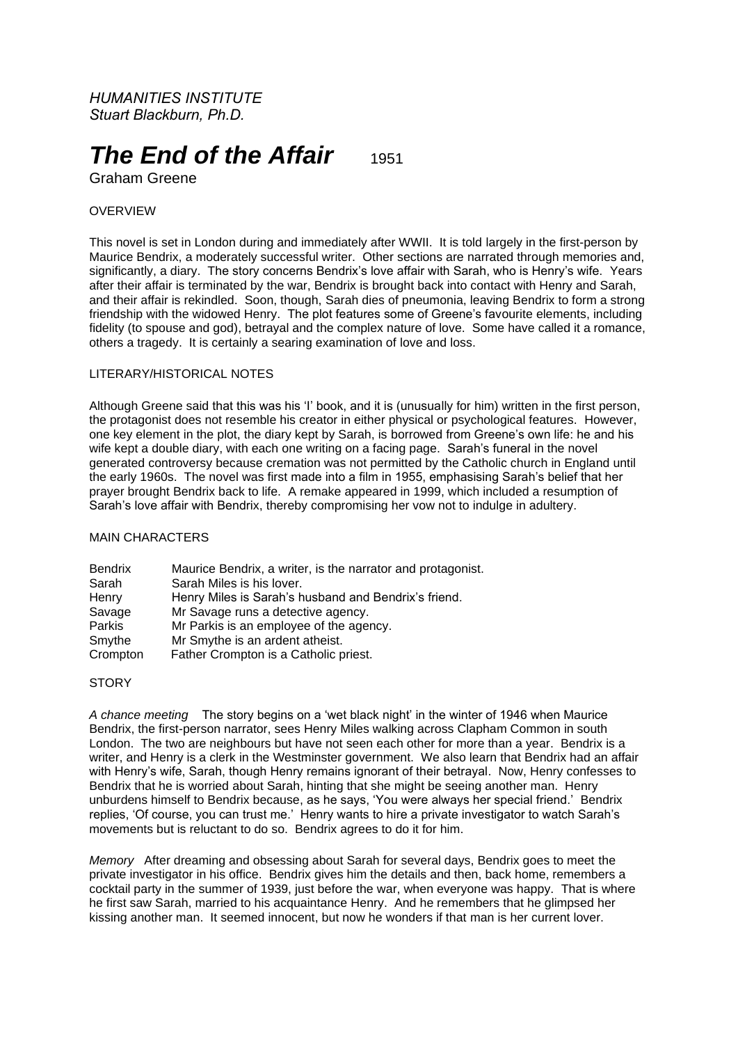*HUMANITIES INSTITUTE Stuart Blackburn, Ph.D.*

# **The End of the Affair** 1951

Graham Greene

## **OVERVIEW**

This novel is set in London during and immediately after WWII. It is told largely in the first-person by Maurice Bendrix, a moderately successful writer. Other sections are narrated through memories and, significantly, a diary. The story concerns Bendrix's love affair with Sarah, who is Henry's wife. Years after their affair is terminated by the war, Bendrix is brought back into contact with Henry and Sarah, and their affair is rekindled. Soon, though, Sarah dies of pneumonia, leaving Bendrix to form a strong friendship with the widowed Henry. The plot features some of Greene's favourite elements, including fidelity (to spouse and god), betrayal and the complex nature of love. Some have called it a romance, others a tragedy. It is certainly a searing examination of love and loss.

### LITERARY/HISTORICAL NOTES

Although Greene said that this was his 'I' book, and it is (unusually for him) written in the first person, the protagonist does not resemble his creator in either physical or psychological features. However, one key element in the plot, the diary kept by Sarah, is borrowed from Greene's own life: he and his wife kept a double diary, with each one writing on a facing page. Sarah's funeral in the novel generated controversy because cremation was not permitted by the Catholic church in England until the early 1960s. The novel was first made into a film in 1955, emphasising Sarah's belief that her prayer brought Bendrix back to life. A remake appeared in 1999, which included a resumption of Sarah's love affair with Bendrix, thereby compromising her vow not to indulge in adultery.

#### MAIN CHARACTERS

| <b>Bendrix</b> | Maurice Bendrix, a writer, is the narrator and protagonist. |
|----------------|-------------------------------------------------------------|
| Sarah          | Sarah Miles is his lover.                                   |
| Henry          | Henry Miles is Sarah's husband and Bendrix's friend.        |
| Savage         | Mr Savage runs a detective agency.                          |
| Parkis         | Mr Parkis is an employee of the agency.                     |
| Smythe         | Mr Smythe is an ardent atheist.                             |
| Crompton       | Father Crompton is a Catholic priest.                       |

## **STORY**

*A chance meeting* The story begins on a 'wet black night' in the winter of 1946 when Maurice Bendrix, the first-person narrator, sees Henry Miles walking across Clapham Common in south London. The two are neighbours but have not seen each other for more than a year. Bendrix is a writer, and Henry is a clerk in the Westminster government. We also learn that Bendrix had an affair with Henry's wife, Sarah, though Henry remains ignorant of their betrayal. Now, Henry confesses to Bendrix that he is worried about Sarah, hinting that she might be seeing another man. Henry unburdens himself to Bendrix because, as he says, 'You were always her special friend.' Bendrix replies, 'Of course, you can trust me.' Henry wants to hire a private investigator to watch Sarah's movements but is reluctant to do so. Bendrix agrees to do it for him.

*Memory* After dreaming and obsessing about Sarah for several days, Bendrix goes to meet the private investigator in his office. Bendrix gives him the details and then, back home, remembers a cocktail party in the summer of 1939, just before the war, when everyone was happy. That is where he first saw Sarah, married to his acquaintance Henry. And he remembers that he glimpsed her kissing another man. It seemed innocent, but now he wonders if that man is her current lover.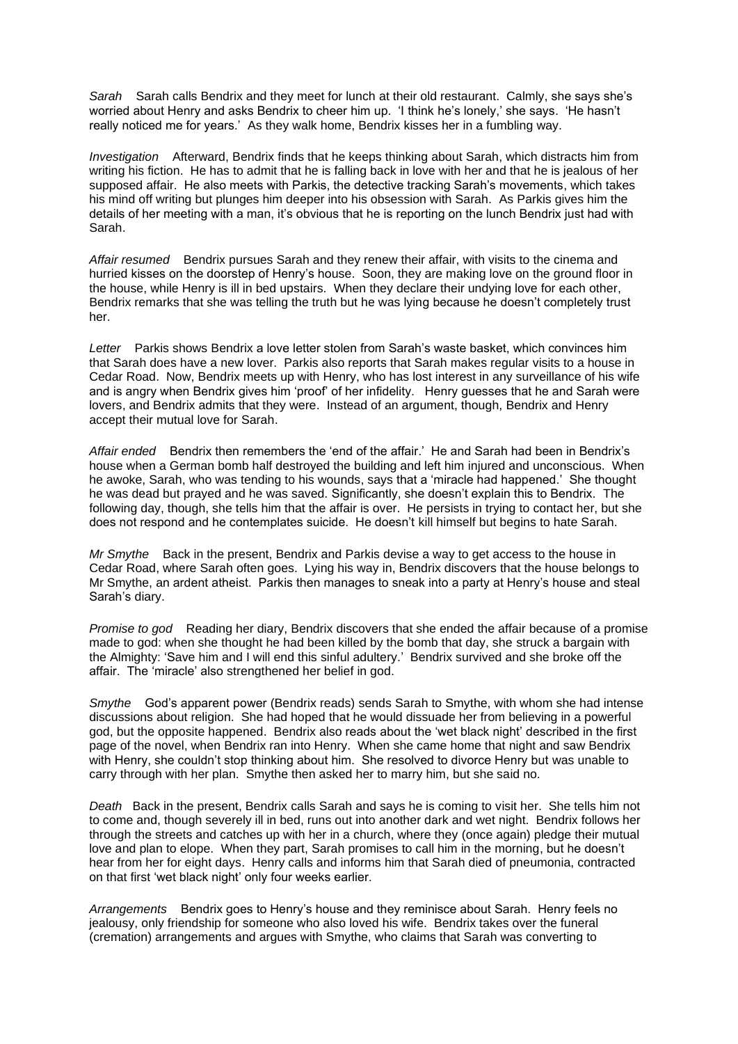*Sarah* Sarah calls Bendrix and they meet for lunch at their old restaurant. Calmly, she says she's worried about Henry and asks Bendrix to cheer him up. 'I think he's lonely,' she says. 'He hasn't really noticed me for years.' As they walk home, Bendrix kisses her in a fumbling way.

*Investigation* Afterward, Bendrix finds that he keeps thinking about Sarah, which distracts him from writing his fiction. He has to admit that he is falling back in love with her and that he is jealous of her supposed affair. He also meets with Parkis, the detective tracking Sarah's movements, which takes his mind off writing but plunges him deeper into his obsession with Sarah. As Parkis gives him the details of her meeting with a man, it's obvious that he is reporting on the lunch Bendrix just had with Sarah.

*Affair resumed* Bendrix pursues Sarah and they renew their affair, with visits to the cinema and hurried kisses on the doorstep of Henry's house. Soon, they are making love on the ground floor in the house, while Henry is ill in bed upstairs. When they declare their undying love for each other, Bendrix remarks that she was telling the truth but he was lying because he doesn't completely trust her.

*Letter* Parkis shows Bendrix a love letter stolen from Sarah's waste basket, which convinces him that Sarah does have a new lover. Parkis also reports that Sarah makes regular visits to a house in Cedar Road. Now, Bendrix meets up with Henry, who has lost interest in any surveillance of his wife and is angry when Bendrix gives him 'proof' of her infidelity. Henry guesses that he and Sarah were lovers, and Bendrix admits that they were. Instead of an argument, though, Bendrix and Henry accept their mutual love for Sarah.

Affair ended Bendrix then remembers the 'end of the affair.' He and Sarah had been in Bendrix's house when a German bomb half destroyed the building and left him injured and unconscious. When he awoke, Sarah, who was tending to his wounds, says that a 'miracle had happened.' She thought he was dead but prayed and he was saved. Significantly, she doesn't explain this to Bendrix. The following day, though, she tells him that the affair is over. He persists in trying to contact her, but she does not respond and he contemplates suicide. He doesn't kill himself but begins to hate Sarah.

*Mr Smythe* Back in the present, Bendrix and Parkis devise a way to get access to the house in Cedar Road, where Sarah often goes. Lying his way in, Bendrix discovers that the house belongs to Mr Smythe, an ardent atheist. Parkis then manages to sneak into a party at Henry's house and steal Sarah's diary.

*Promise to god* Reading her diary, Bendrix discovers that she ended the affair because of a promise made to god: when she thought he had been killed by the bomb that day, she struck a bargain with the Almighty: 'Save him and I will end this sinful adultery.' Bendrix survived and she broke off the affair. The 'miracle' also strengthened her belief in god.

*Smythe* God's apparent power (Bendrix reads) sends Sarah to Smythe, with whom she had intense discussions about religion. She had hoped that he would dissuade her from believing in a powerful god, but the opposite happened. Bendrix also reads about the 'wet black night' described in the first page of the novel, when Bendrix ran into Henry. When she came home that night and saw Bendrix with Henry, she couldn't stop thinking about him. She resolved to divorce Henry but was unable to carry through with her plan. Smythe then asked her to marry him, but she said no.

*Death* Back in the present, Bendrix calls Sarah and says he is coming to visit her. She tells him not to come and, though severely ill in bed, runs out into another dark and wet night. Bendrix follows her through the streets and catches up with her in a church, where they (once again) pledge their mutual love and plan to elope. When they part, Sarah promises to call him in the morning, but he doesn't hear from her for eight days. Henry calls and informs him that Sarah died of pneumonia, contracted on that first 'wet black night' only four weeks earlier.

*Arrangements* Bendrix goes to Henry's house and they reminisce about Sarah. Henry feels no jealousy, only friendship for someone who also loved his wife. Bendrix takes over the funeral (cremation) arrangements and argues with Smythe, who claims that Sarah was converting to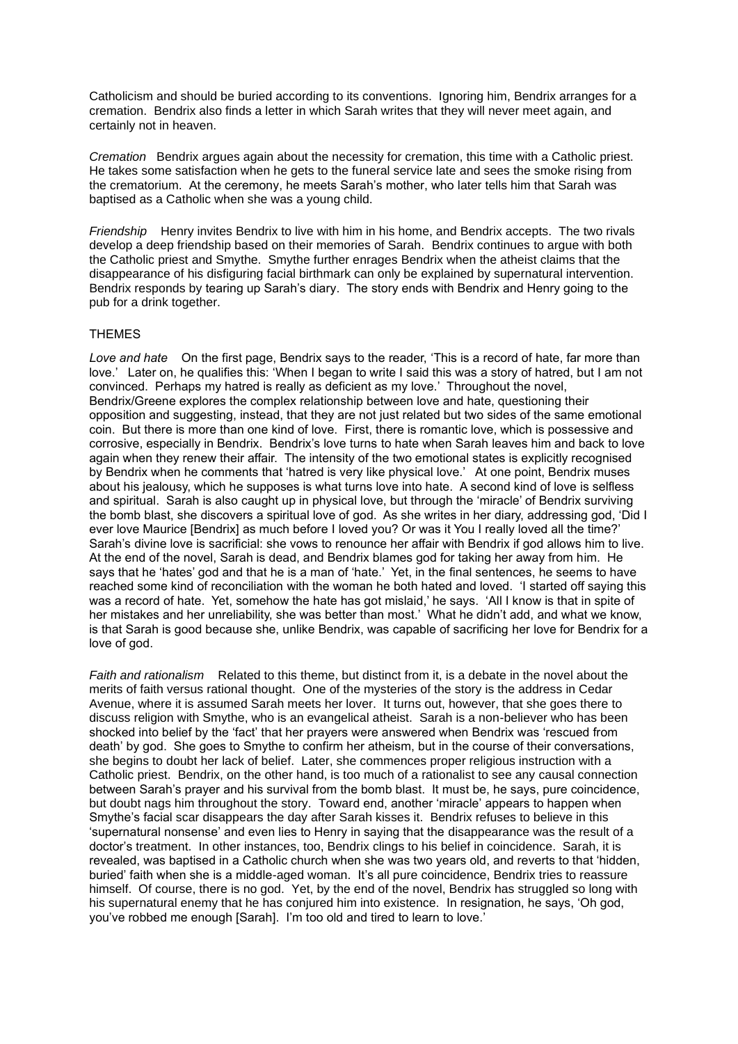Catholicism and should be buried according to its conventions. Ignoring him, Bendrix arranges for a cremation. Bendrix also finds a letter in which Sarah writes that they will never meet again, and certainly not in heaven.

*Cremation* Bendrix argues again about the necessity for cremation, this time with a Catholic priest. He takes some satisfaction when he gets to the funeral service late and sees the smoke rising from the crematorium. At the ceremony, he meets Sarah's mother, who later tells him that Sarah was baptised as a Catholic when she was a young child.

*Friendship* Henry invites Bendrix to live with him in his home, and Bendrix accepts. The two rivals develop a deep friendship based on their memories of Sarah. Bendrix continues to argue with both the Catholic priest and Smythe. Smythe further enrages Bendrix when the atheist claims that the disappearance of his disfiguring facial birthmark can only be explained by supernatural intervention. Bendrix responds by tearing up Sarah's diary. The story ends with Bendrix and Henry going to the pub for a drink together.

### THEMES

*Love and hate* On the first page, Bendrix says to the reader, 'This is a record of hate, far more than love.' Later on, he qualifies this: 'When I began to write I said this was a story of hatred, but I am not convinced. Perhaps my hatred is really as deficient as my love.' Throughout the novel, Bendrix/Greene explores the complex relationship between love and hate, questioning their opposition and suggesting, instead, that they are not just related but two sides of the same emotional coin. But there is more than one kind of love. First, there is romantic love, which is possessive and corrosive, especially in Bendrix. Bendrix's love turns to hate when Sarah leaves him and back to love again when they renew their affair. The intensity of the two emotional states is explicitly recognised by Bendrix when he comments that 'hatred is very like physical love.' At one point, Bendrix muses about his jealousy, which he supposes is what turns love into hate. A second kind of love is selfless and spiritual. Sarah is also caught up in physical love, but through the 'miracle' of Bendrix surviving the bomb blast, she discovers a spiritual love of god. As she writes in her diary, addressing god, 'Did I ever love Maurice [Bendrix] as much before I loved you? Or was it You I really loved all the time?' Sarah's divine love is sacrificial: she vows to renounce her affair with Bendrix if god allows him to live. At the end of the novel, Sarah is dead, and Bendrix blames god for taking her away from him. He says that he 'hates' god and that he is a man of 'hate.' Yet, in the final sentences, he seems to have reached some kind of reconciliation with the woman he both hated and loved. 'I started off saying this was a record of hate. Yet, somehow the hate has got mislaid,' he says. 'All I know is that in spite of her mistakes and her unreliability, she was better than most.' What he didn't add, and what we know, is that Sarah is good because she, unlike Bendrix, was capable of sacrificing her love for Bendrix for a love of god.

*Faith and rationalism* Related to this theme, but distinct from it, is a debate in the novel about the merits of faith versus rational thought. One of the mysteries of the story is the address in Cedar Avenue, where it is assumed Sarah meets her lover. It turns out, however, that she goes there to discuss religion with Smythe, who is an evangelical atheist. Sarah is a non-believer who has been shocked into belief by the 'fact' that her prayers were answered when Bendrix was 'rescued from death' by god. She goes to Smythe to confirm her atheism, but in the course of their conversations, she begins to doubt her lack of belief. Later, she commences proper religious instruction with a Catholic priest. Bendrix, on the other hand, is too much of a rationalist to see any causal connection between Sarah's prayer and his survival from the bomb blast. It must be, he says, pure coincidence, but doubt nags him throughout the story. Toward end, another 'miracle' appears to happen when Smythe's facial scar disappears the day after Sarah kisses it. Bendrix refuses to believe in this 'supernatural nonsense' and even lies to Henry in saying that the disappearance was the result of a doctor's treatment. In other instances, too, Bendrix clings to his belief in coincidence. Sarah, it is revealed, was baptised in a Catholic church when she was two years old, and reverts to that 'hidden, buried' faith when she is a middle-aged woman. It's all pure coincidence, Bendrix tries to reassure himself. Of course, there is no god. Yet, by the end of the novel, Bendrix has struggled so long with his supernatural enemy that he has conjured him into existence. In resignation, he says, 'Oh god, you've robbed me enough [Sarah]. I'm too old and tired to learn to love.'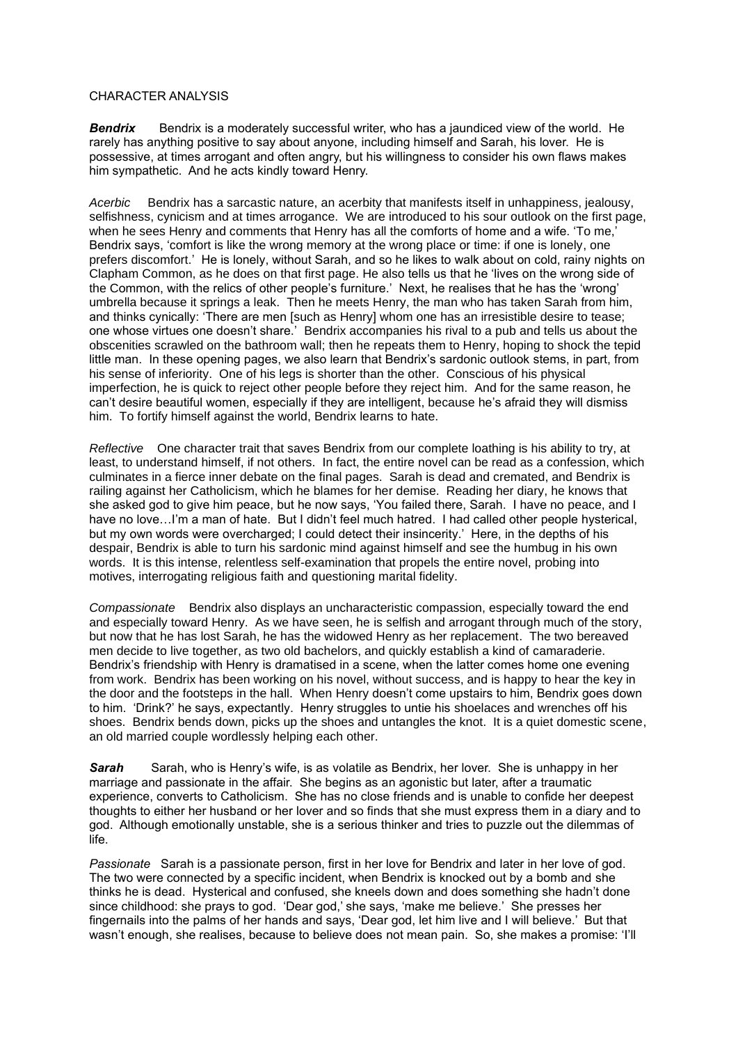#### CHARACTER ANALYSIS

**Bendrix** Bendrix is a moderately successful writer, who has a jaundiced view of the world. He rarely has anything positive to say about anyone, including himself and Sarah, his lover. He is possessive, at times arrogant and often angry, but his willingness to consider his own flaws makes him sympathetic. And he acts kindly toward Henry.

*Acerbic* Bendrix has a sarcastic nature, an acerbity that manifests itself in unhappiness, jealousy, selfishness, cynicism and at times arrogance. We are introduced to his sour outlook on the first page, when he sees Henry and comments that Henry has all the comforts of home and a wife. 'To me,' Bendrix says, 'comfort is like the wrong memory at the wrong place or time: if one is lonely, one prefers discomfort.' He is lonely, without Sarah, and so he likes to walk about on cold, rainy nights on Clapham Common, as he does on that first page. He also tells us that he 'lives on the wrong side of the Common, with the relics of other people's furniture.' Next, he realises that he has the 'wrong' umbrella because it springs a leak. Then he meets Henry, the man who has taken Sarah from him, and thinks cynically: 'There are men [such as Henry] whom one has an irresistible desire to tease; one whose virtues one doesn't share.' Bendrix accompanies his rival to a pub and tells us about the obscenities scrawled on the bathroom wall; then he repeats them to Henry, hoping to shock the tepid little man. In these opening pages, we also learn that Bendrix's sardonic outlook stems, in part, from his sense of inferiority. One of his legs is shorter than the other. Conscious of his physical imperfection, he is quick to reject other people before they reject him. And for the same reason, he can't desire beautiful women, especially if they are intelligent, because he's afraid they will dismiss him. To fortify himself against the world, Bendrix learns to hate.

*Reflective* One character trait that saves Bendrix from our complete loathing is his ability to try, at least, to understand himself, if not others. In fact, the entire novel can be read as a confession, which culminates in a fierce inner debate on the final pages. Sarah is dead and cremated, and Bendrix is railing against her Catholicism, which he blames for her demise. Reading her diary, he knows that she asked god to give him peace, but he now says, 'You failed there, Sarah. I have no peace, and I have no love...I'm a man of hate. But I didn't feel much hatred. I had called other people hysterical, but my own words were overcharged; I could detect their insincerity.' Here, in the depths of his despair, Bendrix is able to turn his sardonic mind against himself and see the humbug in his own words. It is this intense, relentless self-examination that propels the entire novel, probing into motives, interrogating religious faith and questioning marital fidelity.

*Compassionate* Bendrix also displays an uncharacteristic compassion, especially toward the end and especially toward Henry. As we have seen, he is selfish and arrogant through much of the story, but now that he has lost Sarah, he has the widowed Henry as her replacement. The two bereaved men decide to live together, as two old bachelors, and quickly establish a kind of camaraderie. Bendrix's friendship with Henry is dramatised in a scene, when the latter comes home one evening from work. Bendrix has been working on his novel, without success, and is happy to hear the key in the door and the footsteps in the hall. When Henry doesn't come upstairs to him, Bendrix goes down to him. 'Drink?' he says, expectantly. Henry struggles to untie his shoelaces and wrenches off his shoes. Bendrix bends down, picks up the shoes and untangles the knot. It is a quiet domestic scene, an old married couple wordlessly helping each other.

*Sarah* Sarah, who is Henry's wife, is as volatile as Bendrix, her lover. She is unhappy in her marriage and passionate in the affair. She begins as an agonistic but later, after a traumatic experience, converts to Catholicism. She has no close friends and is unable to confide her deepest thoughts to either her husband or her lover and so finds that she must express them in a diary and to god. Although emotionally unstable, she is a serious thinker and tries to puzzle out the dilemmas of life.

*Passionate* Sarah is a passionate person, first in her love for Bendrix and later in her love of god. The two were connected by a specific incident, when Bendrix is knocked out by a bomb and she thinks he is dead. Hysterical and confused, she kneels down and does something she hadn't done since childhood: she prays to god. 'Dear god,' she says, 'make me believe.' She presses her fingernails into the palms of her hands and says, 'Dear god, let him live and I will believe.' But that wasn't enough, she realises, because to believe does not mean pain. So, she makes a promise: 'I'll